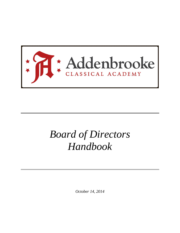

# *Board of Directors Handbook*

*October 14, 2014*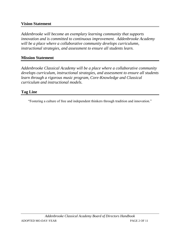#### **Vision Statement**

*Addenbrooke will become an exemplary learning community that supports innovation and is committed to continuous improvement. Addenbrooke Academy will be a place where a collaborative community develops curriculumn, instructional strategies, and assessment to ensure all students learn.*

#### **Mission Statement**

*Addenbrooke Classical Academy will be a place where a collaborative community develops curriculum, instructional strategies, and assessment to ensure all students learn through a rigorous music program, Core-Knowledge and Classical curriculum and instructional models.*

#### **Tag Line**

"Fostering a culture of free and independent thinkers through tradition and innovation."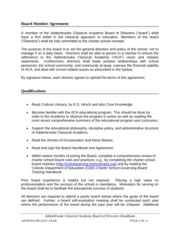#### **Board Member Agreement**

A member of the Addenbrooke Classical Academy Board of Directors ("board") shall have a firm belief in the classical approach to education. Members of the board ("Directors") shall be fully committed to the charter school concept.

The purpose of the board is to set the general direction and policy of the school, not to manage it on a daily basis. Directors shall be able to govern in a manner to ensure the adherence to the Addenbrooke Classical Academy ("ACA") vision and mission statements. Furthermore, directors shall foster positive relationships with school personnel, the school community, and community at large, oversee the financial stability of ACA, and deal with school related issues as prescribed in the bylaws.

By signature below, each director agrees to uphold the terms of this agreement.

#### **Qualifications**

- Read *Cultural Literacy; by E.D. Hirsch and also Core Knowledge*
- Become familiar with the ACA educational program. This should be done by visits to the Academy to observe the program in action as well as reading the most recent comprehensive summary of the educational program and curriculum.
- Support the educational philosophy, discipline policy, and administrative structure of Addenbrooke Classical Academy.
- Read the Articles of Incorporation and these Bylaws.
- Read and sign the Board Handbook and Agreement.
- Within twelve months of joining the Board, complete a comprehensive review of charter school board rules and practices, *e.g.*, by completing the charter school board modules [\(http://onlinelearning.enetcolorado.org\)](http://onlinelearning.enetcolorado.org/) and by reading the Colordo Department of Education (CDE) *Charter School Governing Board Training Handbook*.

Prior board experience is helpful but not required. Placing a high value on professionalism and the success of the school is mandatory. Motivation for serving on the board shall be to facilitate the educational success of students.

All directors are required to attend a yearly board retreat where the goals of the board are defined. Further, a board self-evaluation meeting shall be conducted each year where the performance of the board during the past year will be critiqued. Additional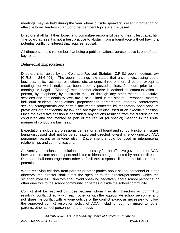meetings may be held during the year where outside speakers present information on effective board leadership and/or other pertinent topics are discussed.

Directors shall fulfill their board and committee responsibilities to their fullest capability. The board agrees it is not a best practice to abstain from a board vote without having a potential conflict of interest that requires recusal.

All directors should remember that being a public relations representative is one of their key roles.

#### **Behavioral Expectations**

Directors shall abide by the Colorado Revised Statutes (C.R.S.) open meetings law [C.R.S. § 24-6-401]. The open meetings law states that anyone discussing board business, policy, actions, resolutions, etc. amongst three or more directors, except at meetings for which notice has been properly posted at least 24 hours prior to the meeting, is illegal. "Meeting" with another director is defined as communication in person, by telephone, by electronic mail, or through any other means. Executive sessions and confidentiality laws are also outlined in the statute. Personnel matters, individual students, negotiations, property/lease agreements, attorney conferences, security arrangements and certain documents protected by mandatory nondisclosure provisions are confidential by law and are typically discussed in an executive session. Once the executive session is concluded, any actions resulting from the discussion are conducted and documented as part of the regular (or special) meeting in the usual manner of conducting business.

Expectations include a professional demeanor at all board and school functions. Issues being discussed shall not be personalized and directed toward a fellow director, ACA personnel, parent or anyone else. Discernment should be used in interpersonal relationships and communications.

A diversity of opinions and solutions are necessary for the effective governance of ACA; however, directors shall respect and listen to ideas being presented by another director. Directors shall encourage each other to fulfill their responsibilities to the fullest of their potential.

When receiving criticism from parents or other parties about school personnel or other directors, the director shall direct the speaker to the director/personnel, which the situation involves. Directors shall avoid speaking negatively about school personnel or other directors to the school community, or parties outside the school community.

Conflict shall be resolved by those between whom it exists. Directors will commit to resolving conflict directly with each other or with the appropriate school personnel and not share the conflict with anyone outside of the conflict except as necessary to follow the approved conflict resolution policy of ACA, including, but not limited to, other parents, other school personnel, or the media.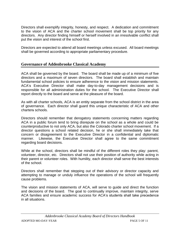Directors shall exemplify integrity, honesty, and respect. A dedication and commitment to the vision of ACA and the charter school movement shall be top priority for any directors. Any director finding himself or herself involved in an irresolvable conflict shall put the vision and interest of the school first.

Directors are expected to attend all board meetings unless excused. All board meetings shall be governed according to appropriate parliamentary procedure.

#### **Governance of Addenbrooke Classical Academy**

ACA shall be governed by the board. The board shall be made up of a minimum of five directors and a maximum of seven directors. The board shall establish and maintain fundamental school policies to ensure adherence to the vision and mission statements. ACA's Executive Director shall make day-to-day management decisions and is responsible for all administration duties for the school. The Executive Director shall report directly to the board and serve at the pleasure of the board.

As with all charter schools, ACA is an entity separate from the school district in the area of governance. Each director shall guard this unique characteristic of ACA and other charters schools.

Directors should remember that derogatory statements concerning matters regarding ACA in a public forum tend to bring disrepute on the school as a whole and could be counterproductive to not only ACA, but also the Colorado charter school movement. If a director questions a school related decision, he or she shall immediately take that concern or disagreement to the Executive Director in a confidential and diplomatic manner. Likewise, the Executive Director shall agree to the same commitment regarding board decisions.

While at the school, directors shall be mindful of the different roles they play: parent, volunteer, director, etc. Directors shall not use their position of authority while acting in their parent or volunteer roles. With humility, each director shall serve the best interests of the school.

Directors shall remember that stepping out of their advisory or director capacity and attempting to manage or unduly influence the operations of the school will frequently cause problems.

The vision and mission statements of ACA, will serve to guide and direct the function and decisions of the board. The goal to continually improve, maintain integrity, serve ACA families and ensure academic success for ACA's students shall take precedence in all situations.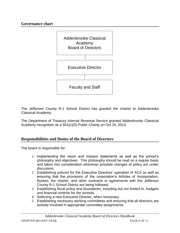#### **Governance chart**



The Jefferson County R-1 School District has granted the charter to Addenbrooke Classical Academy.

The Department of Treasury Internal Revenue Service granted Addenbrooke Classical Academy recognition as a 501(c)(3) Public Charity on Oct 24, 2013.

#### **Responsibilities and Duties of the Board of Directors**

The board is responsible for:

- 1. Implementing the vision and mission statements as well as the school's philosophy and objectives. This philosophy should be read on a regular basis and taken into consideration whenever possible changes of policy are under discussion.
- 2. Establishing policies for the Executive Directors' operation of ACA as well as ensuring that the provisions of the corporation's Articles of Incorporation, Bylaws, the charter, and other contracts or agreements with the Jefferson County R-1 School District are being followed.
- 3. Establishing fiscal policy and boundaries, including but not limited to, budgets and financial controls for the schools.
- 4. Selecting a new Executive Director, when necessary.
- 5. Establishing necessary working committees and ensuring that all directors are actively involved in appropriate committee assignments.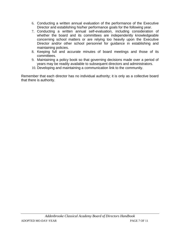- 6. Conducting a written annual evaluation of the performance of the Executive Director and establishing his/her performance goals for the following year.
- 7. Conducting a written annual self-evaluation, including consideration of whether the board and its committees are independently knowledgeable concerning school matters or are relying too heavily upon the Executive Director and/or other school personnel for guidance in establishing and maintaining policies.
- 8. Keeping full and accurate minutes of board meetings and those of its committees.
- 9. Maintaining a policy book so that governing decisions made over a period of years may be readily available to subsequent directors and administrators.
- 10. Developing and maintaining a communication link to the community.

Remember that each director has no individual authority; it is only as a collective board that there is authority.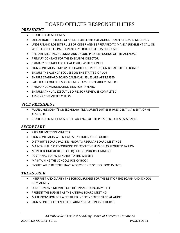# BOARD OFFICER RESPONSIBILITIES

## *PRESIDENT*

- CHAIR BOARD MEETINGS
- UTILIZE ROBERTS RULES OF ORDER FOR CLARITY OF ACTION TAKEN AT BOARD MEETINGS
- UNDERSTAND ROBERTS RULES OF ORDER AND BE PREPARED TO MAKE A JUDGMENT CALL ON WHETHER PROPER PARLIAMENTARY PROCEDURE HAS BEEN USED
- PREPARE MEETING AGENDAS AND ENSURE PROPER POSTING OF THE AGENDAS
- **PRIMARY CONTACT FOR THE EXECUTIVE DIRECTOR**
- **PRIMARY CONTACT FOR LEGAL ISSUES WITH COUNSEL**
- **SIGN CONTRACTS (EMPLOYEE, CHARTER OR VENDOR) ON BEHALF OF THE BOARD**
- ENSURE THE AGENDA FOCUSES ON THE STRATEGIC PLAN
- ENSURE STANDARD BOARD CALENDAR ISSUES ARE ADDRESSED
- FACILITATE CONFLICT MANAGEMENT AMONG BOARD MEMBERS
- **PRIMARY COMMUNICATION LINK FOR PARENTS**
- ENSURES ANNUAL EXECUTIVE DIRECTOR REVIEW IS COMPLETED
- **ASSIGNS COMMITTEE CHAIRS**

## *VICE PRESIDENT*

- FULFILL PRESIDENT'S OR SECRETARY-TREASURER'S DUTIES IF PRESIDENT IS ABSENT, OR AS ASSIGNED
- CHAIR BOARD MEETINGS IN THE ABSENCE OF THE PRESIDENT, OR AS ASSIGNED.

#### *SECRETARY*

- **PREPARE MEETING MINUTES**
- SIGN CONTRACTS WHEN TWO SIGNATURES ARE REQUIRED
- **DISTRIBUTE BOARD PACKETS PRIOR TO REGULAR BOARD MEETINGS**
- MAINTAIN AUDIO RECORDINGS OF EXECUTIVE SESSION AS REQUIRED BY LAW
- MONITOR TIME (IF RESTRICTED) DURING PUBLIC COMMENT
- POST FINAL BOARD MINUTES TO THE WEBSITE
- MAINTAINING THE SCHOOLS POLICY BOOK
- ENSURE ALL DIRECTORS HAVE A COPY OF KEY SCHOOL DOCUMENTS

#### *TREASURER*

- INTERPRET AND CLARIFY THE SCHOOL BUDGET FOR THE REST OF THE BOARD AND SCHOOL **COMMUNITY**
- FUNCTION AS A MEMBER OF THE FINANCE SUBCOMMITTEE
- PRESENT THE BUDGET AT THE ANNUAL BOARD MEETING
- MAKE PROVISION FOR A CERTIFIED INDEPENDENT FINANCIAL AUDIT
- **SIGN MONTHLY EXPENSES FOR ADMINISTRATION AS REQUIRED**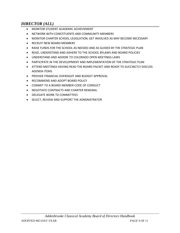# *DIRECTOR (ALL)*

- MONITOR STUDENT ACADEMIC ACHIEVEMENT
- **NETWORK WITH CONSTITUENTS AND COMMUNITY MEMBERS**
- MONITOR CHARTER SCHOOL LEGISLATION; GET INVOLVED AS MAY BECOME NECESSARY
- **RECRUIT NEW BOARD MEMBERS**
- RAISE FUNDS FOR THE SCHOOL AS NEEDED AND AS GUIDED BY THE STRATEGIC PLAN
- READ, UNDERSTAND AND ADHERE TO THE SCHOOL BYLAWS AND BOARD POLICIES
- UNDERSTAND AND ADHERE TO COLORADO OPEN MEETINGS LAWS
- PARTICIPATE IN THE DEVELOPMENT AND IMPLEMENTATION OF THE STRATEGIC PLAN
- ATTEND MEETINGS HAVING READ THE BOARD PACKET AND READY TO SUCCINCTLY DISCUSS AGENDA ITEMS
- **PROVIDE FINANCIAL OVERSIGHT AND BUDGET APPROVAL**
- **RECOMMEND AND ADOPT BOARD POLICY**
- COMMIT TO A BOARD MEMBER CODE OF CONDUCT
- NEGOTIATE CONTRACTS AND CHARTER RENEWAL
- DELEGATE WORK TO COMMITTEES
- **SELECT, REVIEW AND SUPPORT THE ADMINISTRATOR**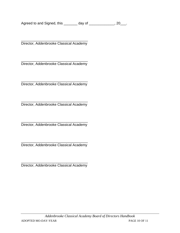Agreed to and Signed, this \_\_\_\_\_\_\_\_ day of \_\_\_\_\_\_\_\_\_\_\_\_\_, 20\_\_\_.

\_\_\_\_\_\_\_\_\_\_\_\_\_\_\_\_\_\_\_\_\_\_\_\_\_\_\_\_\_\_\_\_\_\_ Director, Addenbrooke Classical Academy

\_\_\_\_\_\_\_\_\_\_\_\_\_\_\_\_\_\_\_\_\_\_\_\_\_\_\_\_\_\_\_\_\_\_ Director, Addenbrooke Classical Academy

\_\_\_\_\_\_\_\_\_\_\_\_\_\_\_\_\_\_\_\_\_\_\_\_\_\_\_\_\_\_\_\_\_\_ Director, Addenbrooke Classical Academy

\_\_\_\_\_\_\_\_\_\_\_\_\_\_\_\_\_\_\_\_\_\_\_\_\_\_\_\_\_\_\_\_\_\_ Director, Addenbrooke Classical Academy

\_\_\_\_\_\_\_\_\_\_\_\_\_\_\_\_\_\_\_\_\_\_\_\_\_\_\_\_\_\_\_\_\_\_ Director, Addenbrooke Classical Academy

\_\_\_\_\_\_\_\_\_\_\_\_\_\_\_\_\_\_\_\_\_\_\_\_\_\_\_\_\_\_\_\_\_\_ Director, Addenbrooke Classical Academy

\_\_\_\_\_\_\_\_\_\_\_\_\_\_\_\_\_\_\_\_\_\_\_\_\_\_\_\_\_\_\_\_\_\_ Director, Addenbrooke Classical Academy